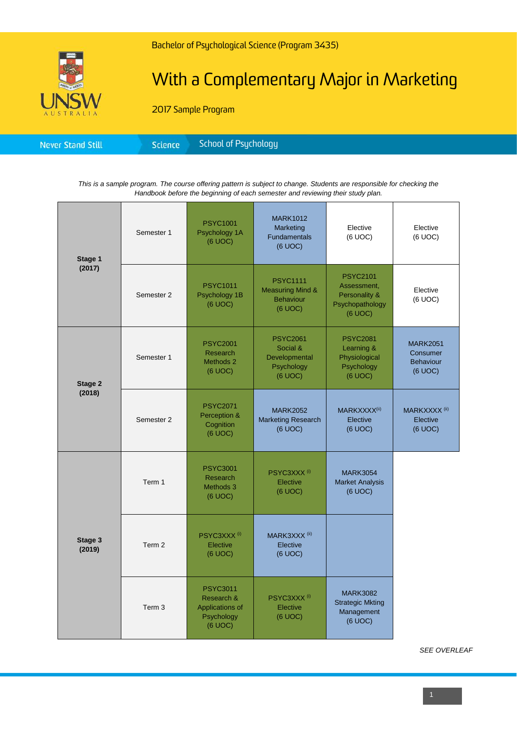

## With a Complementary Major in Marketing

2017 Sample Program

| <b>Never Stand Still</b> |
|--------------------------|
|--------------------------|

*This is a sample program. The course offering pattern is subject to change. Students are responsible for checking the Handbook before the beginning of each semester and reviewing their study plan.*

| Stage 1<br>(2017) | Semester 1        | <b>PSYC1001</b><br>Psychology 1A<br>(6 UOC)                               | <b>MARK1012</b><br>Marketing<br><b>Fundamentals</b><br>(6 UOC)                | Elective<br>(6 UOC)                                                           | Elective<br>(6 UOC)                                        |
|-------------------|-------------------|---------------------------------------------------------------------------|-------------------------------------------------------------------------------|-------------------------------------------------------------------------------|------------------------------------------------------------|
|                   | Semester 2        | <b>PSYC1011</b><br>Psychology 1B<br>(6 UOC)                               | <b>PSYC1111</b><br><b>Measuring Mind &amp;</b><br><b>Behaviour</b><br>(6 UOC) | <b>PSYC2101</b><br>Assessment,<br>Personality &<br>Psychopathology<br>(6 UOC) | Elective<br>(6 UOC)                                        |
| Stage 2<br>(2018) | Semester 1        | <b>PSYC2001</b><br>Research<br>Methods 2<br>$(6$ UOC $)$                  | <b>PSYC2061</b><br>Social &<br>Developmental<br>Psychology<br>(6 UOC)         | <b>PSYC2081</b><br>Learning &<br>Physiological<br>Psychology<br>(6 UOC)       | <b>MARK2051</b><br>Consumer<br><b>Behaviour</b><br>(6 UOC) |
|                   | Semester 2        | <b>PSYC2071</b><br>Perception &<br>Cognition<br>(6 UOC)                   | <b>MARK2052</b><br><b>Marketing Research</b><br>(6 UOC)                       | MARKXXXX <sup>(ii)</sup><br>Elective<br>(6 UOC)                               | MARKXXXX <sup>(ii)</sup><br>Elective<br>(6 UOC)            |
| Stage 3<br>(2019) | Term 1            | <b>PSYC3001</b><br>Research<br>Methods 3<br>(6 UOC)                       | PSYC3XXX <sup>(i)</sup><br>Elective<br>(6 UOC)                                | <b>MARK3054</b><br><b>Market Analysis</b><br>(6 UOC)                          |                                                            |
|                   | Term 2            | PSYC3XXX <sup>(i)</sup><br>Elective<br>(6 UOC)                            | MARK3XXX <sup>(ii)</sup><br>Elective<br>(6 UOC)                               |                                                                               |                                                            |
|                   | Term <sub>3</sub> | <b>PSYC3011</b><br>Research &<br>Applications of<br>Psychology<br>(6 UOC) | PSYC3XXX <sup>(i)</sup><br>Elective<br>(6 UOC)                                | <b>MARK3082</b><br><b>Strategic Mkting</b><br>Management<br>(6 UOC)           |                                                            |

*SEE OVERLEAF*